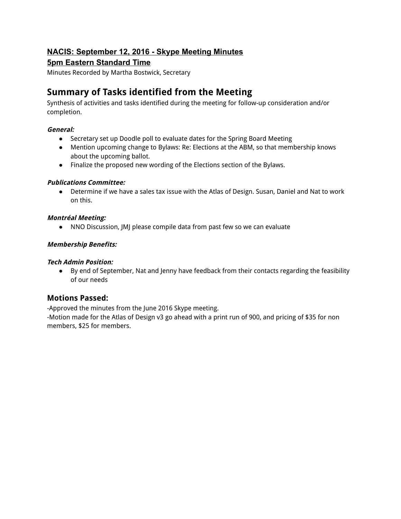# **NACIS: September 12, 2016 Skype Meeting Minutes**

# **5pm Eastern Standard Time**

Minutes Recorded by Martha Bostwick, Secretary

# **Summary of Tasks identified from the Meeting**

Synthesis of activities and tasks identified during the meeting for follow-up consideration and/or completion.

# **General:**

- Secretary set up Doodle poll to evaluate dates for the Spring Board Meeting
- Mention upcoming change to Bylaws: Re: Elections at the ABM, so that membership knows about the upcoming ballot.
- Finalize the proposed new wording of the Elections section of the Bylaws.

# **Publications Committee:**

● Determine if we have a sales tax issue with the Atlas of Design. Susan, Daniel and Nat to work on this.

# **Montréal Meeting:**

● NNO Discussion, JMJ please compile data from past few so we can evaluate

# **Membership Benefits:**

# **Tech Admin Position:**

● By end of September, Nat and Jenny have feedback from their contacts regarding the feasibility of our needs

# **Motions Passed:**

-Approved the minutes from the June 2016 Skype meeting.

-Motion made for the Atlas of Design v3 go ahead with a print run of 900, and pricing of \$35 for non members, \$25 for members.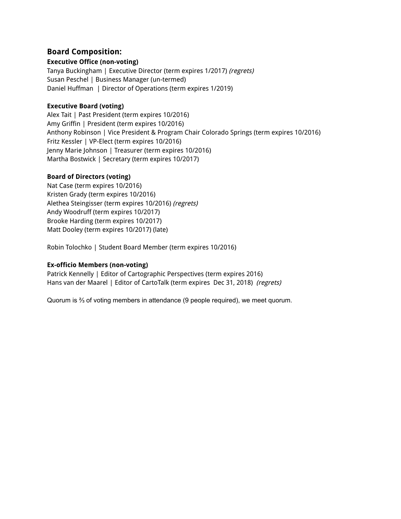# **Board Composition:**

# **Executive Office (non-voting)**

Tanya Buckingham | Executive Director (term expires 1/2017) (regrets) Susan Peschel | Business Manager (un-termed) Daniel Huffman | Director of Operations (term expires 1/2019)

# **Executive Board (voting)**

Alex Tait | Past President (term expires 10/2016) Amy Griffin | President (term expires 10/2016) Anthony Robinson | Vice President & Program Chair Colorado Springs (term expires 10/2016) Fritz Kessler | VP-Elect (term expires 10/2016) Jenny Marie Johnson | Treasurer (term expires 10/2016) Martha Bostwick | Secretary (term expires 10/2017)

# **Board of Directors (voting)**

Nat Case (term expires 10/2016) Kristen Grady (term expires 10/2016) Alethea Steingisser (term expires 10/2016) (regrets) Andy Woodruff (term expires 10/2017) Brooke Harding (term expires 10/2017) Matt Dooley (term expires 10/2017) (late)

Robin Tolochko | Student Board Member (term expires 10/2016)

# **Ex-officio Members (non-voting)**

Patrick Kennelly | Editor of Cartographic Perspectives (term expires 2016) Hans van der Maarel | Editor of CartoTalk (term expires Dec 31, 2018) (regrets)

Quorum is ⅔ of voting members in attendance (9 people required), we meet quorum.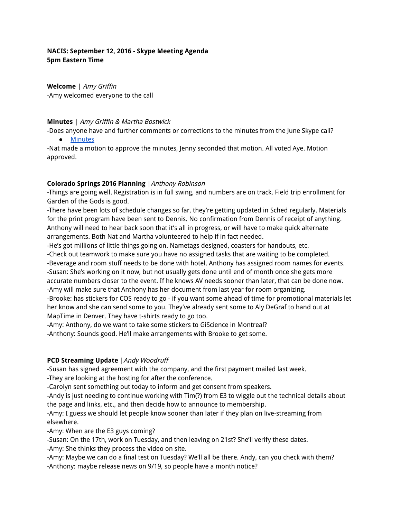# **NACIS: September 12, 2016 - Skype Meeting Agenda 5pm Eastern Time**

**Welcome** | Amy Griffin -Amy welcomed everyone to the call

#### **Minutes** | Amy Griffin & Martha Bostwick

-Does anyone have and further comments or corrections to the minutes from the June Skype call?

● Minutes

-Nat made a motion to approve the minutes, Jenny seconded that motion. All voted Aye. Motion approved.

## **Colorado Springs 2016 Planning** |Anthony Robinson

-Things are going well. Registration is in full swing, and numbers are on track. Field trip enrollment for Garden of the Gods is good.

-There have been lots of schedule changes so far, they're getting updated in Sched regularly. Materials for the print program have been sent to Dennis. No confirmation from Dennis of receipt of anything. Anthony will need to hear back soon that it's all in progress, or will have to make quick alternate arrangements. Both Nat and Martha volunteered to help if in fact needed.

-He's got millions of little things going on. Nametags designed, coasters for handouts, etc.

-Check out teamwork to make sure you have no assigned tasks that are waiting to be completed.

-Beverage and room stuff needs to be done with hotel. Anthony has assigned room names for events.

-Susan: She's working on it now, but not usually gets done until end of month once she gets more accurate numbers closer to the event. If he knows AV needs sooner than later, that can be done now. -Amy will make sure that Anthony has her document from last year for room organizing.

-Brooke: has stickers for COS ready to go - if you want some ahead of time for promotional materials let her know and she can send some to you. They've already sent some to Aly DeGraf to hand out at MapTime in Denver. They have t-shirts ready to go too.

-Amy: Anthony, do we want to take some stickers to GiScience in Montreal? -Anthony: Sounds good. He'll make arrangements with Brooke to get some.

# **PCD Streaming Update** |Andy Woodruff

-Susan has signed agreement with the company, and the first payment mailed last week. -They are looking at the hosting for after the conference.

-Carolyn sent something out today to inform and get consent from speakers.

-Andy is just needing to continue working with Tim(?) from E3 to wiggle out the technical details about the page and links, etc., and then decide how to announce to membership.

-Amy: I guess we should let people know sooner than later if they plan on live-streaming from elsewhere.

-Amy: When are the E3 guys coming?

-Susan: On the 17th, work on Tuesday, and then leaving on 21st? She'll verify these dates.

-Amy: She thinks they process the video on site.

-Amy: Maybe we can do a final test on Tuesday? We'll all be there. Andy, can you check with them? -Anthony: maybe release news on 9/19, so people have a month notice?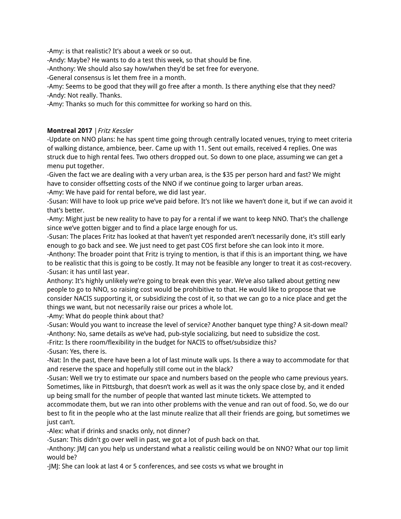-Amy: is that realistic? It's about a week or so out.

-Andy: Maybe? He wants to do a test this week, so that should be fine.

-Anthony: We should also say how/when they'd be set free for everyone.

-General consensus is let them free in a month.

-Amy: Seems to be good that they will go free after a month. Is there anything else that they need? -Andy: Not really. Thanks.

-Amy: Thanks so much for this committee for working so hard on this.

# **Montreal 2017** |Fritz Kessler

-Update on NNO plans: he has spent time going through centrally located venues, trying to meet criteria of walking distance, ambience, beer. Came up with 11. Sent out emails, received 4 replies. One was struck due to high rental fees. Two others dropped out. So down to one place, assuming we can get a menu put together.

-Given the fact we are dealing with a very urban area, is the \$35 per person hard and fast? We might have to consider offsetting costs of the NNO if we continue going to larger urban areas.

-Amy: We have paid for rental before, we did last year.

-Susan: Will have to look up price we've paid before. It's not like we haven't done it, but if we can avoid it that's better.

-Amy: Might just be new reality to have to pay for a rental if we want to keep NNO. That's the challenge since we've gotten bigger and to find a place large enough for us.

-Susan: The places Fritz has looked at that haven't yet responded aren't necessarily done, it's still early enough to go back and see. We just need to get past COS first before she can look into it more.

-Anthony: The broader point that Fritz is trying to mention, is that if this is an important thing, we have to be realistic that this is going to be costly. It may not be feasible any longer to treat it as cost-recovery. -Susan: it has until last year.

Anthony: It's highly unlikely we're going to break even this year. We've also talked about getting new people to go to NNO, so raising cost would be prohibitive to that. He would like to propose that we consider NACIS supporting it, or subsidizing the cost of it, so that we can go to a nice place and get the things we want, but not necessarily raise our prices a whole lot.

-Amy: What do people think about that?

-Susan: Would you want to increase the level of service? Another banquet type thing? A sit-down meal? -Anthony: No, same details as we've had, pub-style socializing, but need to subsidize the cost.

-Fritz: Is there room/flexibility in the budget for NACIS to offset/subsidize this?

-Susan: Yes, there is.

-Nat: In the past, there have been a lot of last minute walk ups. Is there a way to accommodate for that and reserve the space and hopefully still come out in the black?

-Susan: Well we try to estimate our space and numbers based on the people who came previous years. Sometimes, like in Pittsburgh, that doesn't work as well as it was the only space close by, and it ended up being small for the number of people that wanted last minute tickets. We attempted to

accommodate them, but we ran into other problems with the venue and ran out of food. So, we do our best to fit in the people who at the last minute realize that all their friends are going, but sometimes we just can't.

-Alex: what if drinks and snacks only, not dinner?

-Susan: This didn't go over well in past, we got a lot of push back on that.

-Anthony: JMJ can you help us understand what a realistic ceiling would be on NNO? What our top limit would be?

-JMJ: She can look at last 4 or 5 conferences, and see costs vs what we brought in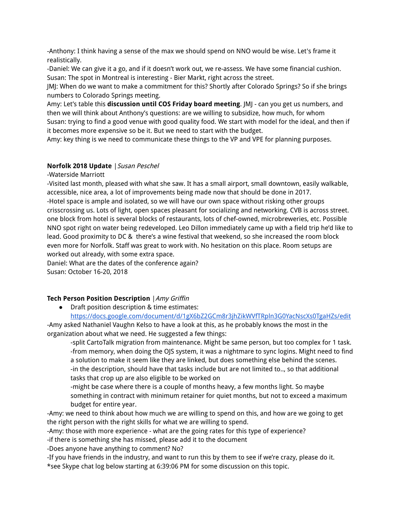-Anthony: I think having a sense of the max we should spend on NNO would be wise. Let's frame it realistically.

-Daniel: We can give it a go, and if it doesn't work out, we re-assess. We have some financial cushion. Susan: The spot in Montreal is interesting - Bier Markt, right across the street.

JMJ: When do we want to make a commitment for this? Shortly after Colorado Springs? So if she brings numbers to Colorado Springs meeting.

Amy: Let's table this **discussion until COS Friday board meeting**. JMJ - can you get us numbers, and then we will think about Anthony's questions: are we willing to subsidize, how much, for whom Susan: trying to find a good venue with good quality food. We start with model for the ideal, and then if it becomes more expensive so be it. But we need to start with the budget.

Amy: key thing is we need to communicate these things to the VP and VPE for planning purposes.

## **Norfolk 2018 Update** |Susan Peschel

-Waterside Marriott

-Visited last month, pleased with what she saw. It has a small airport, small downtown, easily walkable, accessible, nice area, a lot of improvements being made now that should be done in 2017. -Hotel space is ample and isolated, so we will have our own space without risking other groups crisscrossing us. Lots of light, open spaces pleasant for socializing and networking. CVB is across street. one block from hotel is several blocks of restaurants, lots of chef-owned, microbreweries, etc. Possible NNO spot right on water being redeveloped. Leo Dillon immediately came up with a field trip he'd like to lead. Good proximity to DC & there's a wine festival that weekend, so she increased the room block even more for Norfolk. Staff was great to work with. No hesitation on this place. Room setups are worked out already, with some extra space.

Daniel: What are the dates of the conference again? Susan: October 16-20, 2018

# **Tech Person Position Description** |Amy Griffin

● Draft position description & time estimates:

https://docs.google.com/document/d/1gX6bZ2GCm8r3jhZikWVfTRpln3G0YacNscXs0TgaHZs/edit -Amy asked Nathaniel Vaughn Kelso to have a look at this, as he probably knows the most in the organization about what we need. He suggested a few things:

-split CartoTalk migration from maintenance. Might be same person, but too complex for 1 task. -from memory, when doing the OJS system, it was a nightmare to sync logins. Might need to find a solution to make it seem like they are linked, but does something else behind the scenes. -in the description, should have that tasks include but are not limited to.., so that additional tasks that crop up are also eligible to be worked on

-might be case where there is a couple of months heavy, a few months light. So maybe something in contract with minimum retainer for quiet months, but not to exceed a maximum budget for entire year.

-Amy: we need to think about how much we are willing to spend on this, and how are we going to get the right person with the right skills for what we are willing to spend.

-Amy: those with more experience - what are the going rates for this type of experience?

-if there is something she has missed, please add it to the document

-Does anyone have anything to comment? No?

-If you have friends in the industry, and want to run this by them to see if we're crazy, please do it. \*see Skype chat log below starting at 6:39:06 PM for some discussion on this topic.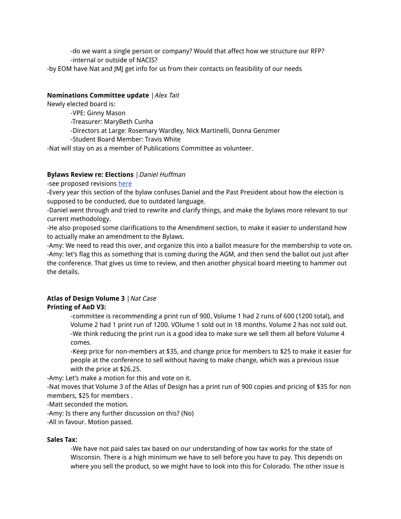-do we want a single person or company? Would that affect how we structure our RFP? -internal or outside of NACIS?

-by EOM have Nat and JMJ get info for us from their contacts on feasibility of our needs

## **Nominations Committee update** |Alex Tait

Newly elected board is:

-VPE: Ginny Mason

-Treasurer: MaryBeth Cunha

-Directors at Large: Rosemary Wardley, Nick Martinelli, Donna Genzmer

-Student Board Member: Travis White

-Nat will stay on as a member of Publications Committee as volunteer.

## **Bylaws Review re: Elections** |Daniel Huffman

-see proposed revisions here

-Every year this section of the bylaw confuses Daniel and the Past President about how the election is supposed to be conducted, due to outdated language.

-Daniel went through and tried to rewrite and clarify things, and make the bylaws more relevant to our current methodology.

-He also proposed some clarifications to the Amendment section, to make it easier to understand how to actually make an amendment to the Bylaws.

-Amy: We need to read this over, and organize this into a ballot measure for the membership to vote on. -Amy: let's flag this as something that is coming during the AGM, and then send the ballot out just after the conference. That gives us time to review, and then another physical board meeting to hammer out the details.

#### **Atlas of Design Volume 3** |Nat Case **Printing of AoD V3:**

-committee is recommending a print run of 900. Volume 1 had 2 runs of 600 (1200 total), and Volume 2 had 1 print run of 1200. VOlume 1 sold out in 18 months. Volume 2 has not sold out. -We think reducing the print run is a good idea to make sure we sell them all before Volume 4 comes.

-Keep price for non-members at \$35, and change price for members to \$25 to make it easier for people at the conference to sell without having to make change, which was a previous issue with the price at \$26.25.

-Amy: Let's make a motion for this and vote on it.

-Nat moves that Volume 3 of the Atlas of Design has a print run of 900 copies and pricing of \$35 for non members, \$25 for members .

-Matt seconded the motion.

-Amy: Is there any further discussion on this? (No)

-All in favour. Motion passed.

#### **Sales Tax:**

-We have not paid sales tax based on our understanding of how tax works for the state of Wisconsin. There is a high minimum we have to sell before you have to pay. This depends on where you sell the product, so we might have to look into this for Colorado. The other issue is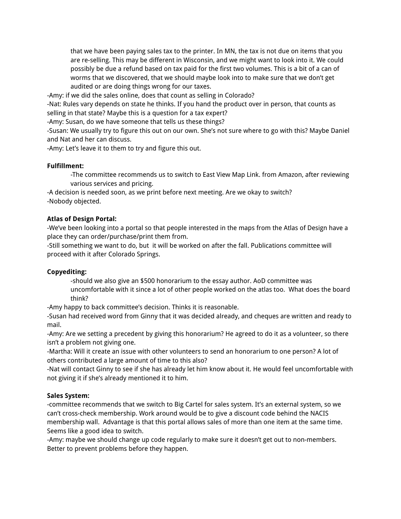that we have been paying sales tax to the printer. In MN, the tax is not due on items that you are re-selling. This may be different in Wisconsin, and we might want to look into it. We could possibly be due a refund based on tax paid for the first two volumes. This is a bit of a can of worms that we discovered, that we should maybe look into to make sure that we don't get audited or are doing things wrong for our taxes.

-Amy: if we did the sales online, does that count as selling in Colorado?

-Nat: Rules vary depends on state he thinks. If you hand the product over in person, that counts as selling in that state? Maybe this is a question for a tax expert?

-Amy: Susan, do we have someone that tells us these things?

-Susan: We usually try to figure this out on our own. She's not sure where to go with this? Maybe Daniel and Nat and her can discuss.

-Amy: Let's leave it to them to try and figure this out.

## **Fulfillment:**

-The committee recommends us to switch to East View Map Link. from Amazon, after reviewing various services and pricing.

-A decision is needed soon, as we print before next meeting. Are we okay to switch? -Nobody objected.

#### **Atlas of Design Portal:**

-We've been looking into a portal so that people interested in the maps from the Atlas of Design have a place they can order/purchase/print them from.

-Still something we want to do, but it will be worked on after the fall. Publications committee will proceed with it after Colorado Springs.

#### **Copyediting:**

-should we also give an \$500 honorarium to the essay author. AoD committee was uncomfortable with it since a lot of other people worked on the atlas too. What does the board think?

-Amy happy to back committee's decision. Thinks it is reasonable.

-Susan had received word from Ginny that it was decided already, and cheques are written and ready to mail.

-Amy: Are we setting a precedent by giving this honorarium? He agreed to do it as a volunteer, so there isn't a problem not giving one.

-Martha: Will it create an issue with other volunteers to send an honorarium to one person? A lot of others contributed a large amount of time to this also?

-Nat will contact Ginny to see if she has already let him know about it. He would feel uncomfortable with not giving it if she's already mentioned it to him.

#### **Sales System:**

-committee recommends that we switch to Big Cartel for sales system. It's an external system, so we can't cross-check membership. Work around would be to give a discount code behind the NACIS membership wall. Advantage is that this portal allows sales of more than one item at the same time. Seems like a good idea to switch.

-Amy: maybe we should change up code regularly to make sure it doesn't get out to non-members. Better to prevent problems before they happen.